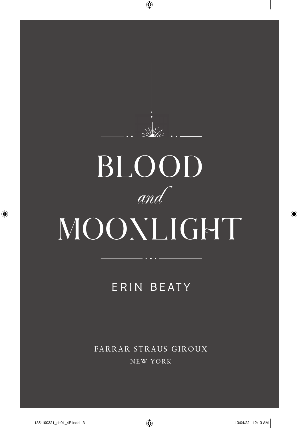

# MOONLIGHT

## ERIN BEATY

## FARRAR STRAUS GIROUX NEW YORK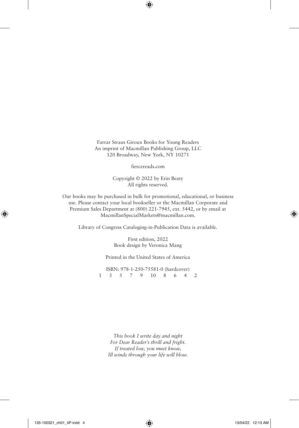Farrar Straus Giroux Books for Young Readers An imprint of Macmillan Publishing Group, LLC 120 Broadway, New York, NY 10271

fiercereads.com

Copyright © 2022 by Erin Beaty All rights reserved.

Our books may be purchased in bulk for promotional, educational, or business use. Please contact your local bookseller or the Macmillan Corporate and Premium Sales Department at (800) 221-7945, ext. 5442, or by email at MacmillanSpecialMarkets@macmillan.com.

Library of Congress Cataloging-in-Publication Data is available.

First edition, 2022 Book design by Veronica Mang

Printed in the United States of America

ISBN: 978-1-250-75581-0 (hardcover) 1 3 5 7 9 10 8 6 4 2

*This book I write day and night For Dear Reader's thrill and fright. If treated low, you must know, Ill winds through your life will blow.*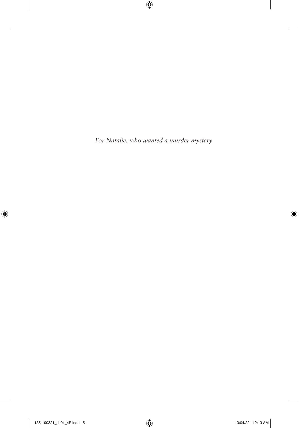*For Natalie, who wanted a murder mystery*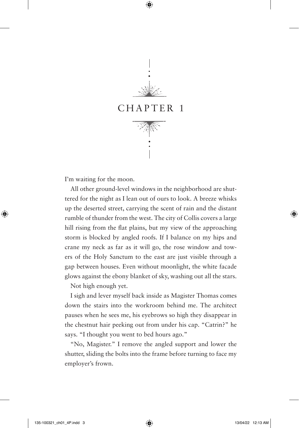

I'm waiting for the moon.

All other ground-level windows in the neighborhood are shuttered for the night as I lean out of ours to look. A breeze whisks up the deserted street, carrying the scent of rain and the distant rumble of thunder from the west. The city of Collis covers a large hill rising from the flat plains, but my view of the approaching storm is blocked by angled roofs. If I balance on my hips and crane my neck as far as it will go, the rose window and towers of the Holy Sanctum to the east are just visible through a gap between houses. Even without moonlight, the white facade glows against the ebony blanket of sky, washing out all the stars.

Not high enough yet.

I sigh and lever myself back inside as Magister Thomas comes down the stairs into the workroom behind me. The architect pauses when he sees me, his eyebrows so high they disappear in the chestnut hair peeking out from under his cap. "Catrin?" he says. "I thought you went to bed hours ago."

"No, Magister." I remove the angled support and lower the shutter, sliding the bolts into the frame before turning to face my employer's frown.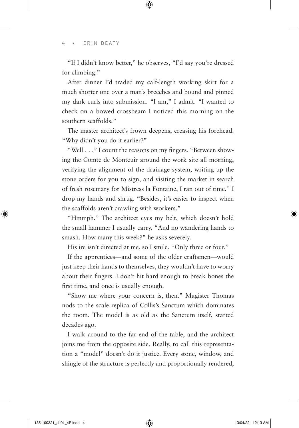"If I didn't know better," he observes, "I'd say you're dressed for climbing."

After dinner I'd traded my calf-length working skirt for a much shorter one over a man's breeches and bound and pinned my dark curls into submission. "I am," I admit. "I wanted to check on a bowed crossbeam I noticed this morning on the southern scaffolds."

The master architect's frown deepens, creasing his forehead. "Why didn't you do it earlier?"

"Well . . ." I count the reasons on my fingers. "Between showing the Comte de Montcuir around the work site all morning, verifying the alignment of the drainage system, writing up the stone orders for you to sign, and visiting the market in search of fresh rosemary for Mistress la Fontaine, I ran out of time." I drop my hands and shrug. "Besides, it's easier to inspect when the scaffolds aren't crawling with workers."

"Hmmph." The architect eyes my belt, which doesn't hold the small hammer I usually carry. "And no wandering hands to smash. How many this week?" he asks severely.

His ire isn't directed at me, so I smile. "Only three or four."

If the apprentices—and some of the older craftsmen—would just keep their hands to themselves, they wouldn't have to worry about their fingers. I don't hit hard enough to break bones the first time, and once is usually enough.

"Show me where your concern is, then." Magister Thomas nods to the scale replica of Collis's Sanctum which dominates the room. The model is as old as the Sanctum itself, started decades ago.

I walk around to the far end of the table, and the architect joins me from the opposite side. Really, to call this representation a "model" doesn't do it justice. Every stone, window, and shingle of the structure is perfectly and proportionally rendered,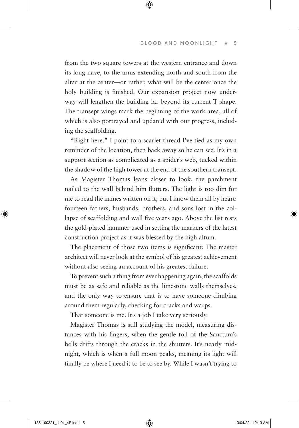from the two square towers at the western entrance and down its long nave, to the arms extending north and south from the altar at the center—or rather, what will be the center once the holy building is finished. Our expansion project now underway will lengthen the building far beyond its current T shape. The transept wings mark the beginning of the work area, all of which is also portrayed and updated with our progress, including the scaffolding.

"Right here." I point to a scarlet thread I've tied as my own reminder of the location, then back away so he can see. It's in a support section as complicated as a spider's web, tucked within the shadow of the high tower at the end of the southern transept.

As Magister Thomas leans closer to look, the parchment nailed to the wall behind him flutters. The light is too dim for me to read the names written on it, but I know them all by heart: fourteen fathers, husbands, brothers, and sons lost in the collapse of scaffolding and wall five years ago. Above the list rests the gold-plated hammer used in setting the markers of the latest construction project as it was blessed by the high altum.

The placement of those two items is significant: The master architect will never look at the symbol of his greatest achievement without also seeing an account of his greatest failure.

To prevent such a thing from ever happening again, the scaffolds must be as safe and reliable as the limestone walls themselves, and the only way to ensure that is to have someone climbing around them regularly, checking for cracks and warps.

That someone is me. It's a job I take very seriously.

Magister Thomas is still studying the model, measuring distances with his fingers, when the gentle toll of the Sanctum's bells drifts through the cracks in the shutters. It's nearly midnight, which is when a full moon peaks, meaning its light will finally be where I need it to be to see by. While I wasn't trying to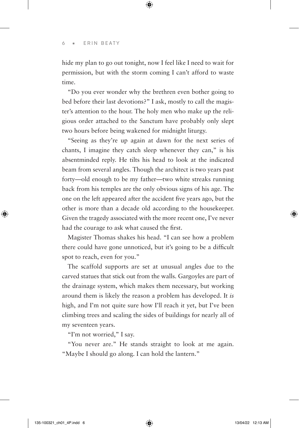hide my plan to go out tonight, now I feel like I need to wait for permission, but with the storm coming I can't afford to waste time.

"Do you ever wonder why the brethren even bother going to bed before their last devotions?" I ask, mostly to call the magister's attention to the hour. The holy men who make up the religious order attached to the Sanctum have probably only slept two hours before being wakened for midnight liturgy.

"Seeing as they're up again at dawn for the next series of chants, I imagine they catch sleep whenever they can," is his absentminded reply. He tilts his head to look at the indicated beam from several angles. Though the architect is two years past forty—old enough to be my father—two white streaks running back from his temples are the only obvious signs of his age. The one on the left appeared after the accident five years ago, but the other is more than a decade old according to the housekeeper. Given the tragedy associated with the more recent one, I've never had the courage to ask what caused the first.

Magister Thomas shakes his head. "I can see how a problem there could have gone unnoticed, but it's going to be a difficult spot to reach, even for you."

The scaffold supports are set at unusual angles due to the carved statues that stick out from the walls. Gargoyles are part of the drainage system, which makes them necessary, but working around them is likely the reason a problem has developed. It *is* high, and I'm not quite sure how I'll reach it yet, but I've been climbing trees and scaling the sides of buildings for nearly all of my seventeen years.

"I'm not worried," I say.

"You never are." He stands straight to look at me again. "Maybe I should go along. I can hold the lantern."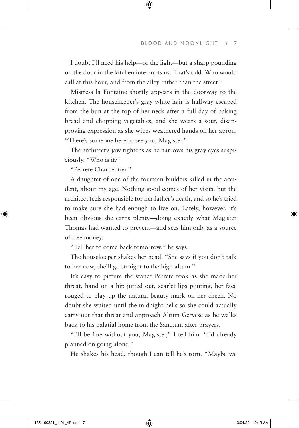I doubt I'll need his help—or the light—but a sharp pounding on the door in the kitchen interrupts us. That's odd. Who would call at this hour, and from the alley rather than the street?

Mistress la Fontaine shortly appears in the doorway to the kitchen. The housekeeper's gray-white hair is halfway escaped from the bun at the top of her neck after a full day of baking bread and chopping vegetables, and she wears a sour, disapproving expression as she wipes weathered hands on her apron. "There's someone here to see you, Magister."

The architect's jaw tightens as he narrows his gray eyes suspiciously. "Who is it?"

"Perrete Charpentier."

A daughter of one of the fourteen builders killed in the accident, about my age. Nothing good comes of her visits, but the architect feels responsible for her father's death, and so he's tried to make sure she had enough to live on. Lately, however, it's been obvious she earns plenty—doing exactly what Magister Thomas had wanted to prevent—and sees him only as a source of free money.

"Tell her to come back tomorrow," he says.

The housekeeper shakes her head. "She says if you don't talk to her now, she'll go straight to the high altum."

It's easy to picture the stance Perrete took as she made her threat, hand on a hip jutted out, scarlet lips pouting, her face rouged to play up the natural beauty mark on her cheek. No doubt she waited until the midnight bells so she could actually carry out that threat and approach Altum Gervese as he walks back to his palatial home from the Sanctum after prayers.

"I'll be fine without you, Magister," I tell him. "I'd already planned on going alone."

He shakes his head, though I can tell he's torn. "Maybe we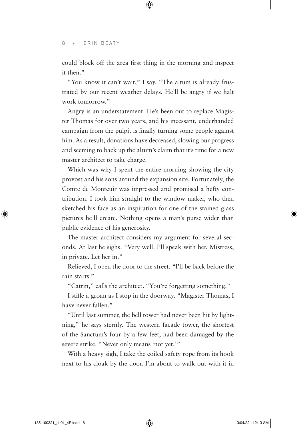could block off the area first thing in the morning and inspect it then."

"You know it can't wait," I say. "The altum is already frustrated by our recent weather delays. He'll be angry if we halt work tomorrow."

Angry is an understatement. He's been out to replace Magister Thomas for over two years, and his incessant, underhanded campaign from the pulpit is finally turning some people against him. As a result, donations have decreased, slowing our progress and seeming to back up the altum's claim that it's time for a new master architect to take charge.

Which was why I spent the entire morning showing the city provost and his sons around the expansion site. Fortunately, the Comte de Montcuir was impressed and promised a hefty contribution. I took him straight to the window maker, who then sketched his face as an inspiration for one of the stained glass pictures he'll create. Nothing opens a man's purse wider than public evidence of his generosity.

The master architect considers my argument for several seconds. At last he sighs. "Very well. I'll speak with her, Mistress, in private. Let her in."

Relieved, I open the door to the street. "I'll be back before the rain starts."

"Catrin," calls the architect. "You're forgetting something."

I stifle a groan as I stop in the doorway. "Magister Thomas, I have never fallen."

"Until last summer, the bell tower had never been hit by lightning," he says sternly. The western facade tower, the shortest of the Sanctum's four by a few feet, had been damaged by the severe strike. "Never only means 'not yet.'"

With a heavy sigh, I take the coiled safety rope from its hook next to his cloak by the door. I'm about to walk out with it in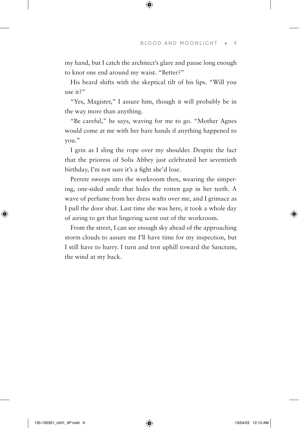my hand, but I catch the architect's glare and pause long enough to knot one end around my waist. "Better?"

His beard shifts with the skeptical tilt of his lips. "Will you use it?"

"Yes, Magister," I assure him, though it will probably be in the way more than anything.

"Be careful," he says, waving for me to go. "Mother Agnes would come at me with her bare hands if anything happened to you."

I grin as I sling the rope over my shoulder. Despite the fact that the prioress of Solis Abbey just celebrated her seventieth birthday, I'm not sure it's a fight she'd lose.

Perrete sweeps into the workroom then, wearing the simpering, one-sided smile that hides the rotten gap in her teeth. A wave of perfume from her dress wafts over me, and I grimace as I pull the door shut. Last time she was here, it took a whole day of airing to get that lingering scent out of the workroom.

From the street, I can see enough sky ahead of the approaching storm clouds to assure me I'll have time for my inspection, but I still have to hurry. I turn and trot uphill toward the Sanctum, the wind at my back.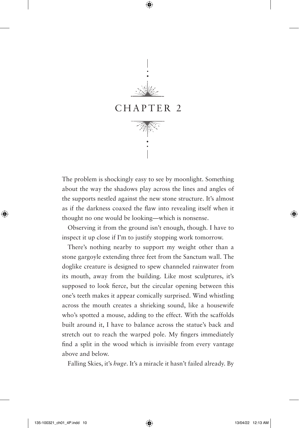

The problem is shockingly easy to see by moonlight. Something about the way the shadows play across the lines and angles of the supports nestled against the new stone structure. It's almost as if the darkness coaxed the flaw into revealing itself when it thought no one would be looking— which is nonsense.

Observing it from the ground isn't enough, though. I have to inspect it up close if I'm to justify stopping work tomorrow.

There's nothing nearby to support my weight other than a stone gargoyle extending three feet from the Sanctum wall. The doglike creature is designed to spew channeled rainwater from its mouth, away from the building. Like most sculptures, it's supposed to look fierce, but the circular opening between this one's teeth makes it appear comically surprised. Wind whistling across the mouth creates a shrieking sound, like a housewife who's spotted a mouse, adding to the effect. With the scaffolds built around it, I have to balance across the statue's back and stretch out to reach the warped pole. My fingers immediately find a split in the wood which is invisible from every vantage above and below.

Falling Skies, it's *huge*. It's a miracle it hasn't failed already. By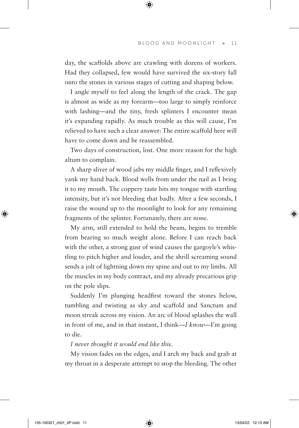day, the scaffolds above are crawling with dozens of workers. Had they collapsed, few would have survived the six-story fall onto the stones in various stages of cutting and shaping below.

I angle myself to feel along the length of the crack. The gap is almost as wide as my forearm— too large to simply reinforce with lashing—and the tiny, fresh splinters I encounter mean it's expanding rapidly. As much trouble as this will cause, I'm relieved to have such a clear answer: The entire scaffold here will have to come down and be reassembled.

Two days of construction, lost. One more reason for the high altum to complain.

A sharp sliver of wood jabs my middle finger, and I reflexively yank my hand back. Blood wells from under the nail as I bring it to my mouth. The coppery taste hits my tongue with startling intensity, but it's not bleeding that badly. After a few seconds, I raise the wound up to the moonlight to look for any remaining fragments of the splinter. Fortunately, there are none.

My arm, still extended to hold the beam, begins to tremble from bearing so much weight alone. Before I can reach back with the other, a strong gust of wind causes the gargoyle's whistling to pitch higher and louder, and the shrill screaming sound sends a jolt of lightning down my spine and out to my limbs. All the muscles in my body contract, and my already precarious grip on the pole slips.

Suddenly I'm plunging headfirst toward the stones below, tumbling and twisting as sky and scaffold and Sanctum and moon streak across my vision. An arc of blood splashes the wall in front of me, and in that instant, I think—*I know*—I'm going to die.

### *I never thought it would end like this.*

My vision fades on the edges, and I arch my back and grab at my throat in a desperate attempt to stop the bleeding. The other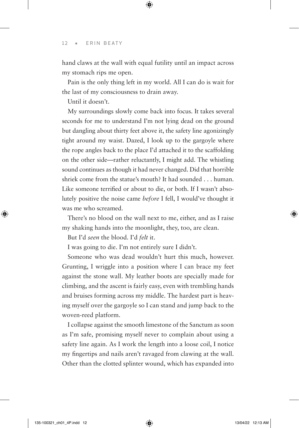hand claws at the wall with equal futility until an impact across my stomach rips me open.

Pain is the only thing left in my world. All I can do is wait for the last of my consciousness to drain away.

Until it doesn't.

My surroundings slowly come back into focus. It takes several seconds for me to understand I'm not lying dead on the ground but dangling about thirty feet above it, the safety line agonizingly tight around my waist. Dazed, I look up to the gargoyle where the rope angles back to the place I'd attached it to the scaffolding on the other side—rather reluctantly, I might add. The whistling sound continues as though it had never changed. Did that horrible shriek come from the statue's mouth? It had sounded . . . human. Like someone terrified or about to die, or both. If I wasn't absolutely positive the noise came *before* I fell, I would've thought it was me who screamed.

There's no blood on the wall next to me, either, and as I raise my shaking hands into the moonlight, they, too, are clean.

But I'd *seen* the blood. I'd *felt* it.

I was going to die. I'm not entirely sure I didn't.

Someone who was dead wouldn't hurt this much, however. Grunting, I wriggle into a position where I can brace my feet against the stone wall. My leather boots are specially made for climbing, and the ascent is fairly easy, even with trembling hands and bruises forming across my middle. The hardest part is heaving myself over the gargoyle so I can stand and jump back to the woven-reed platform.

I collapse against the smooth limestone of the Sanctum as soon as I'm safe, promising myself never to complain about using a safety line again. As I work the length into a loose coil, I notice my fingertips and nails aren't ravaged from clawing at the wall. Other than the clotted splinter wound, which has expanded into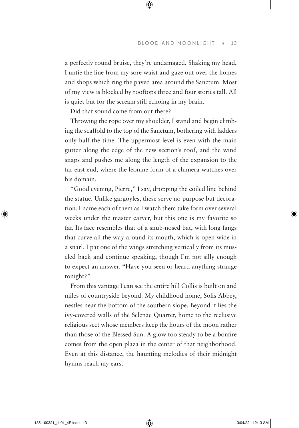a perfectly round bruise, they're undamaged. Shaking my head, I untie the line from my sore waist and gaze out over the homes and shops which ring the paved area around the Sanctum. Most of my view is blocked by rooftops three and four stories tall. All is quiet but for the scream still echoing in my brain.

Did that sound come from out there?

Throwing the rope over my shoulder, I stand and begin climbing the scaffold to the top of the Sanctum, bothering with ladders only half the time. The uppermost level is even with the main gutter along the edge of the new section's roof, and the wind snaps and pushes me along the length of the expansion to the far east end, where the leonine form of a chimera watches over his domain.

"Good evening, Pierre," I say, dropping the coiled line behind the statue. Unlike gargoyles, these serve no purpose but decoration. I name each of them as I watch them take form over several weeks under the master carver, but this one is my favorite so far. Its face resembles that of a snub-nosed bat, with long fangs that curve all the way around its mouth, which is open wide in a snarl. I pat one of the wings stretching vertically from its muscled back and continue speaking, though I'm not silly enough to expect an answer. "Have you seen or heard anything strange tonight?"

From this vantage I can see the entire hill Collis is built on and miles of countryside beyond. My childhood home, Solis Abbey, nestles near the bottom of the southern slope. Beyond it lies the ivy-covered walls of the Selenae Quarter, home to the reclusive religious sect whose members keep the hours of the moon rather than those of the Blessed Sun. A glow too steady to be a bonfire comes from the open plaza in the center of that neighborhood. Even at this distance, the haunting melodies of their midnight hymns reach my ears.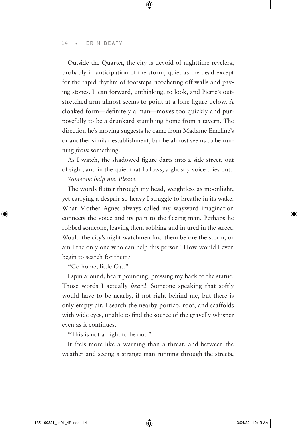Outside the Quarter, the city is devoid of nighttime revelers, probably in anticipation of the storm, quiet as the dead except for the rapid rhythm of footsteps ricocheting off walls and paving stones. I lean forward, unthinking, to look, and Pierre's outstretched arm almost seems to point at a lone figure below. A cloaked form—definitely a man—moves too quickly and purposefully to be a drunkard stumbling home from a tavern. The direction he's moving suggests he came from Madame Emeline's or another similar establishment, but he almost seems to be running *from* something.

As I watch, the shadowed figure darts into a side street, out of sight, and in the quiet that follows, a ghostly voice cries out.

*Someone help me. Please.*

The words flutter through my head, weightless as moonlight, yet carrying a despair so heavy I struggle to breathe in its wake. What Mother Agnes always called my wayward imagination connects the voice and its pain to the fleeing man. Perhaps he robbed someone, leaving them sobbing and injured in the street. Would the city's night watchmen find them before the storm, or am I the only one who can help this person? How would I even begin to search for them?

"Go home, little Cat."

I spin around, heart pounding, pressing my back to the statue. Those words I actually *heard*. Someone speaking that softly would have to be nearby, if not right behind me, but there is only empty air. I search the nearby portico, roof, and scaffolds with wide eyes, unable to find the source of the gravelly whisper even as it continues.

"This is not a night to be out."

It feels more like a warning than a threat, and between the weather and seeing a strange man running through the streets,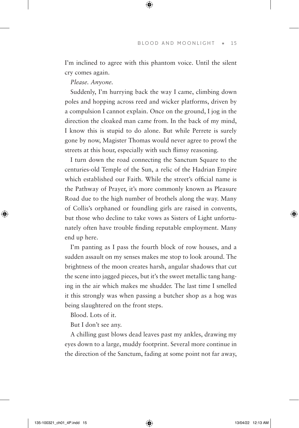I'm inclined to agree with this phantom voice. Until the silent cry comes again.

*Please. Anyone.*

Suddenly, I'm hurrying back the way I came, climbing down poles and hopping across reed and wicker platforms, driven by a compulsion I cannot explain. Once on the ground, I jog in the direction the cloaked man came from. In the back of my mind, I know this is stupid to do alone. But while Perrete is surely gone by now, Magister Thomas would never agree to prowl the streets at this hour, especially with such flimsy reasoning.

I turn down the road connecting the Sanctum Square to the centuries-old Temple of the Sun, a relic of the Hadrian Empire which established our Faith. While the street's official name is the Pathway of Prayer, it's more commonly known as Pleasure Road due to the high number of brothels along the way. Many of Collis's orphaned or foundling girls are raised in convents, but those who decline to take vows as Sisters of Light unfortunately often have trouble finding reputable employment. Many end up here.

I'm panting as I pass the fourth block of row houses, and a sudden assault on my senses makes me stop to look around. The brightness of the moon creates harsh, angular shadows that cut the scene into jagged pieces, but it's the sweet metallic tang hanging in the air which makes me shudder. The last time I smelled it this strongly was when passing a butcher shop as a hog was being slaughtered on the front steps.

Blood. Lots of it.

But I don't see any.

A chilling gust blows dead leaves past my ankles, drawing my eyes down to a large, muddy footprint. Several more continue in the direction of the Sanctum, fading at some point not far away,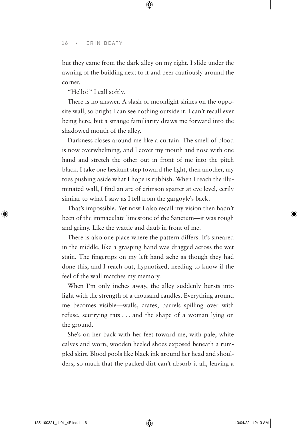but they came from the dark alley on my right. I slide under the awning of the building next to it and peer cautiously around the corner.

"Hello?" I call softly.

There is no answer. A slash of moonlight shines on the opposite wall, so bright I can see nothing outside it. I can't recall ever being here, but a strange familiarity draws me forward into the shadowed mouth of the alley.

Darkness closes around me like a curtain. The smell of blood is now overwhelming, and I cover my mouth and nose with one hand and stretch the other out in front of me into the pitch black. I take one hesitant step toward the light, then another, my toes pushing aside what I hope is rubbish. When I reach the illuminated wall, I find an arc of crimson spatter at eye level, eerily similar to what I saw as I fell from the gargoyle's back.

That's impossible. Yet now I also recall my vision then hadn't been of the immaculate limestone of the Sanctum—it was rough and grimy. Like the wattle and daub in front of me.

There is also one place where the pattern differs. It's smeared in the middle, like a grasping hand was dragged across the wet stain. The fingertips on my left hand ache as though they had done this, and I reach out, hypnotized, needing to know if the feel of the wall matches my memory.

When I'm only inches away, the alley suddenly bursts into light with the strength of a thousand candles. Everything around me becomes visible—walls, crates, barrels spilling over with refuse, scurrying rats . . . and the shape of a woman lying on the ground.

She's on her back with her feet toward me, with pale, white calves and worn, wooden heeled shoes exposed beneath a rumpled skirt. Blood pools like black ink around her head and shoulders, so much that the packed dirt can't absorb it all, leaving a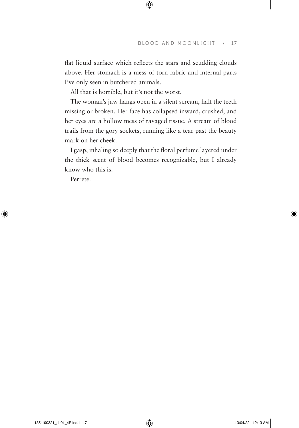flat liquid surface which reflects the stars and scudding clouds above. Her stomach is a mess of torn fabric and internal parts I've only seen in butchered animals.

All that is horrible, but it's not the worst.

The woman's jaw hangs open in a silent scream, half the teeth missing or broken. Her face has collapsed inward, crushed, and her eyes are a hollow mess of ravaged tissue. A stream of blood trails from the gory sockets, running like a tear past the beauty mark on her cheek.

I gasp, inhaling so deeply that the floral perfume layered under the thick scent of blood becomes recognizable, but I already know who this is.

Perrete.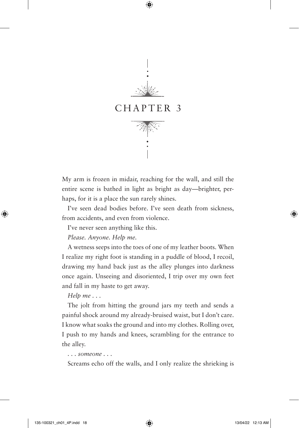

My arm is frozen in midair, reaching for the wall, and still the entire scene is bathed in light as bright as day— brighter, perhaps, for it is a place the sun rarely shines.

I've seen dead bodies before. I've seen death from sickness, from accidents, and even from violence.

I've never seen anything like this.

*Please. Anyone. Help me.*

A wetness seeps into the toes of one of my leather boots. When I realize my right foot is standing in a puddle of blood, I recoil, drawing my hand back just as the alley plunges into darkness once again. Unseeing and disoriented, I trip over my own feet and fall in my haste to get away.

*Help me . . .* 

The jolt from hitting the ground jars my teeth and sends a painful shock around my already- bruised waist, but I don't care. I know what soaks the ground and into my clothes. Rolling over, I push to my hands and knees, scrambling for the entrance to the alley.

*. . . someone . . .* 

Screams echo off the walls, and I only realize the shrieking is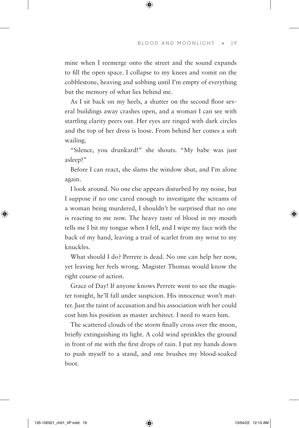mine when I reemerge onto the street and the sound expands to fill the open space. I collapse to my knees and vomit on the cobblestone, heaving and sobbing until I'm empty of everything but the memory of what lies behind me.

As I sit back on my heels, a shutter on the second floor several buildings away crashes open, and a woman I can see with startling clarity peers out. Her eyes are ringed with dark circles and the top of her dress is loose. From behind her comes a soft wailing.

"Silence, you drunkard!" she shouts. "My babe was just asleep!"

Before I can react, she slams the window shut, and I'm alone again.

I look around. No one else appears disturbed by my noise, but I suppose if no one cared enough to investigate the screams of a woman being murdered, I shouldn't be surprised that no one is reacting to me now. The heavy taste of blood in my mouth tells me I bit my tongue when I fell, and I wipe my face with the back of my hand, leaving a trail of scarlet from my wrist to my knuckles.

What should I do? Perrete is dead. No one can help her now, yet leaving her feels wrong. Magister Thomas would know the right course of action.

Grace of Day! If anyone knows Perrete went to see the magister tonight, he'll fall under suspicion. His innocence won't matter. Just the taint of accusation and his association with her could cost him his position as master architect. I need to warn him.

The scattered clouds of the storm finally cross over the moon, briefly extinguishing its light. A cold wind sprinkles the ground in front of me with the first drops of rain. I put my hands down to push myself to a stand, and one brushes my blood-soaked boot.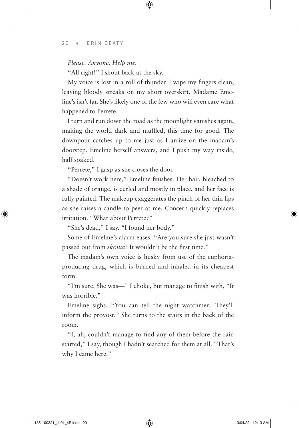#### *Please. Anyone. Help me.*

"All right!" I shout back at the sky.

My voice is lost in a roll of thunder. I wipe my fingers clean, leaving bloody streaks on my short overskirt. Madame Emeline's isn't far. She's likely one of the few who will even care what happened to Perrete.

I turn and run down the road as the moonlight vanishes again, making the world dark and muffled, this time for good. The downpour catches up to me just as I arrive on the madam's doorstep. Emeline herself answers, and I push my way inside, half soaked.

"Perrete," I gasp as she closes the door.

"Doesn't work here," Emeline finishes. Her hair, bleached to a shade of orange, is curled and mostly in place, and her face is fully painted. The makeup exaggerates the pinch of her thin lips as she raises a candle to peer at me. Concern quickly replaces irritation. "What about Perrete?"

"She's dead," I say. "I found her body."

Some of Emeline's alarm eases. "Are you sure she just wasn't passed out from *skonia*? It wouldn't be the first time."

The madam's own voice is husky from use of the euphoriaproducing drug, which is burned and inhaled in its cheapest form.

"I'm sure. She was—" I choke, but manage to finish with, "It was horrible."

Emeline sighs. "You can tell the night watchmen. They'll inform the provost." She turns to the stairs in the back of the room.

"I, ah, couldn't manage to find any of them before the rain started," I say, though I hadn't searched for them at all. "That's why I came here."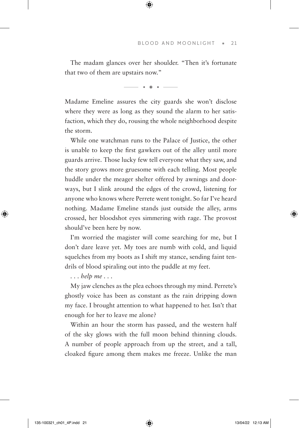The madam glances over her shoulder. "Then it's fortunate that two of them are upstairs now."

 $\bullet$  \*  $\bullet$  -

Madame Emeline assures the city guards she won't disclose where they were as long as they sound the alarm to her satisfaction, which they do, rousing the whole neighborhood despite the storm.

While one watchman runs to the Palace of Justice, the other is unable to keep the first gawkers out of the alley until more guards arrive. Those lucky few tell everyone what they saw, and the story grows more gruesome with each telling. Most people huddle under the meager shelter offered by awnings and doorways, but I slink around the edges of the crowd, listening for anyone who knows where Perrete went tonight. So far I've heard nothing. Madame Emeline stands just outside the alley, arms crossed, her bloodshot eyes simmering with rage. The provost should've been here by now.

I'm worried the magister will come searching for me, but I don't dare leave yet. My toes are numb with cold, and liquid squelches from my boots as I shift my stance, sending faint tendrils of blood spiraling out into the puddle at my feet.

*. . . help me . . .* 

My jaw clenches as the plea echoes through my mind. Perrete's ghostly voice has been as constant as the rain dripping down my face. I brought attention to what happened to her. Isn't that enough for her to leave me alone?

Within an hour the storm has passed, and the western half of the sky glows with the full moon behind thinning clouds. A number of people approach from up the street, and a tall, cloaked figure among them makes me freeze. Unlike the man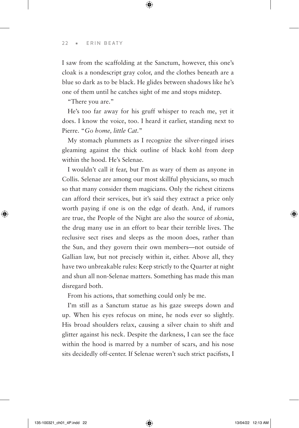I saw from the scaffolding at the Sanctum, however, this one's cloak is a nondescript gray color, and the clothes beneath are a blue so dark as to be black. He glides between shadows like he's one of them until he catches sight of me and stops midstep.

"There you are."

He's too far away for his gruff whisper to reach me, yet it does. I know the voice, too. I heard it earlier, standing next to Pierre. "*Go home, little Cat.*"

My stomach plummets as I recognize the silver-ringed irises gleaming against the thick outline of black kohl from deep within the hood. He's Selenae.

I wouldn't call it fear, but I'm as wary of them as anyone in Collis. Selenae are among our most skillful physicians, so much so that many consider them magicians. Only the richest citizens can afford their services, but it's said they extract a price only worth paying if one is on the edge of death. And, if rumors are true, the People of the Night are also the source of *skonia*, the drug many use in an effort to bear their terrible lives. The reclusive sect rises and sleeps as the moon does, rather than the Sun, and they govern their own members—not outside of Gallian law, but not precisely within it, either. Above all, they have two unbreakable rules: Keep strictly to the Quarter at night and shun all non-Selenae matters. Something has made this man disregard both.

From his actions, that something could only be me.

I'm still as a Sanctum statue as his gaze sweeps down and up. When his eyes refocus on mine, he nods ever so slightly. His broad shoulders relax, causing a silver chain to shift and glitter against his neck. Despite the darkness, I can see the face within the hood is marred by a number of scars, and his nose sits decidedly off-center. If Selenae weren't such strict pacifists, I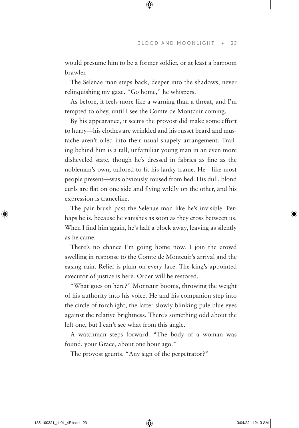would presume him to be a former soldier, or at least a barroom brawler.

The Selenae man steps back, deeper into the shadows, never relinquishing my gaze. "Go home," he whispers.

As before, it feels more like a warning than a threat, and I'm tempted to obey, until I see the Comte de Montcuir coming.

By his appearance, it seems the provost did make some effort to hurry—his clothes are wrinkled and his russet beard and mustache aren't oiled into their usual shapely arrangement. Trailing behind him is a tall, unfamiliar young man in an even more disheveled state, though he's dressed in fabrics as fine as the nobleman's own, tailored to fit his lanky frame. He—like most people present—was obviously roused from bed. His dull, blond curls are flat on one side and flying wildly on the other, and his expression is trancelike.

The pair brush past the Selenae man like he's invisible. Perhaps he is, because he vanishes as soon as they cross between us. When I find him again, he's half a block away, leaving as silently as he came.

There's no chance I'm going home now. I join the crowd swelling in response to the Comte de Montcuir's arrival and the easing rain. Relief is plain on every face. The king's appointed executor of justice is here. Order will be restored.

"What goes on here?" Montcuir booms, throwing the weight of his authority into his voice. He and his companion step into the circle of torchlight, the latter slowly blinking pale blue eyes against the relative brightness. There's something odd about the left one, but I can't see what from this angle.

A watchman steps forward. "The body of a woman was found, your Grace, about one hour ago."

The provost grunts. "Any sign of the perpetrator?"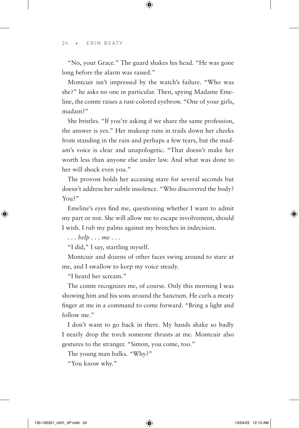"No, your Grace." The guard shakes his head. "He was gone long before the alarm was raised."

Montcuir isn't impressed by the watch's failure. "Who was she?" he asks no one in particular. Then, spying Madame Emeline, the comte raises a rust-colored eyebrow. "One of your girls, madam?"

She bristles. "If you're asking if we share the same profession, the answer is yes." Her makeup runs in trails down her cheeks from standing in the rain and perhaps a few tears, but the madam's voice is clear and unapologetic. "That doesn't make her worth less than anyone else under law. And what was done to her will shock even you."

The provost holds her accusing stare for several seconds but doesn't address her subtle insolence. "Who discovered the body? You?"

Emeline's eyes find me, questioning whether I want to admit my part or not. She will allow me to escape involvement, should I wish. I rub my palms against my breeches in indecision.

*. . . help . . . me . . .*

"I did," I say, startling myself.

Montcuir and dozens of other faces swing around to stare at me, and I swallow to keep my voice steady.

"I heard her scream."

The comte recognizes me, of course. Only this morning I was showing him and his sons around the Sanctum. He curls a meaty finger at me in a command to come forward. "Bring a light and follow me."

I don't want to go back in there. My hands shake so badly I nearly drop the torch someone thrusts at me. Montcuir also gestures to the stranger. "Simon, you come, too."

The young man balks. "Why?"

"You know why."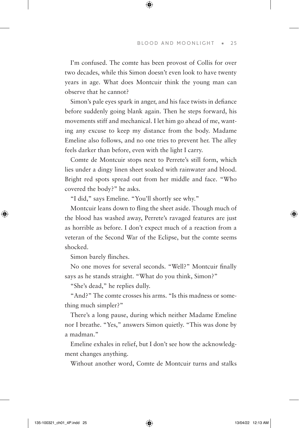I'm confused. The comte has been provost of Collis for over two decades, while this Simon doesn't even look to have twenty years in age. What does Montcuir think the young man can observe that he cannot?

Simon's pale eyes spark in anger, and his face twists in defiance before suddenly going blank again. Then he steps forward, his movements stiff and mechanical. I let him go ahead of me, wanting any excuse to keep my distance from the body. Madame Emeline also follows, and no one tries to prevent her. The alley feels darker than before, even with the light I carry.

Comte de Montcuir stops next to Perrete's still form, which lies under a dingy linen sheet soaked with rainwater and blood. Bright red spots spread out from her middle and face. "Who covered the body?" he asks.

"I did," says Emeline. "You'll shortly see why."

Montcuir leans down to fling the sheet aside. Though much of the blood has washed away, Perrete's ravaged features are just as horrible as before. I don't expect much of a reaction from a veteran of the Second War of the Eclipse, but the comte seems shocked.

Simon barely flinches.

No one moves for several seconds. "Well?" Montcuir finally says as he stands straight. "What do you think, Simon?"

"She's dead," he replies dully.

"And?" The comte crosses his arms. "Is this madness or something much simpler?"

There's a long pause, during which neither Madame Emeline nor I breathe. "Yes," answers Simon quietly. "This was done by a madman."

Emeline exhales in relief, but I don't see how the acknowledgment changes anything.

Without another word, Comte de Montcuir turns and stalks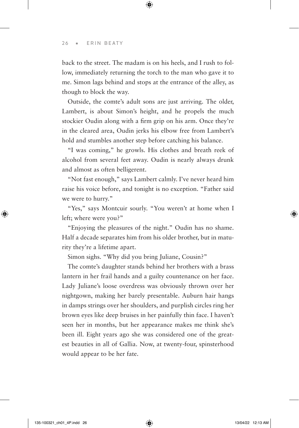back to the street. The madam is on his heels, and I rush to follow, immediately returning the torch to the man who gave it to me. Simon lags behind and stops at the entrance of the alley, as though to block the way.

Outside, the comte's adult sons are just arriving. The older, Lambert, is about Simon's height, and he propels the much stockier Oudin along with a firm grip on his arm. Once they're in the cleared area, Oudin jerks his elbow free from Lambert's hold and stumbles another step before catching his balance.

"I was coming," he growls. His clothes and breath reek of alcohol from several feet away. Oudin is nearly always drunk and almost as often belligerent.

"Not fast enough," says Lambert calmly. I've never heard him raise his voice before, and tonight is no exception. "Father said we were to hurry."

"Yes," says Montcuir sourly. "You weren't at home when I left; where were you?"

"Enjoying the pleasures of the night." Oudin has no shame. Half a decade separates him from his older brother, but in maturity they're a lifetime apart.

Simon sighs. "Why did you bring Juliane, Cousin?"

The comte's daughter stands behind her brothers with a brass lantern in her frail hands and a guilty countenance on her face. Lady Juliane's loose overdress was obviously thrown over her nightgown, making her barely presentable. Auburn hair hangs in damps strings over her shoulders, and purplish circles ring her brown eyes like deep bruises in her painfully thin face. I haven't seen her in months, but her appearance makes me think she's been ill. Eight years ago she was considered one of the greatest beauties in all of Gallia. Now, at twenty-four, spinsterhood would appear to be her fate.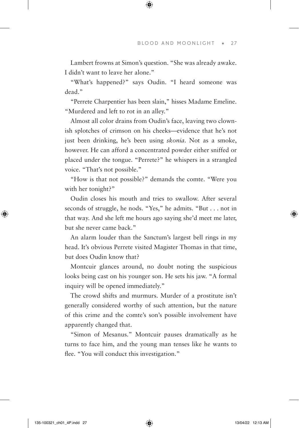Lambert frowns at Simon's question. "She was already awake. I didn't want to leave her alone."

"What's happened?" says Oudin. "I heard someone was dead."

"Perrete Charpentier has been slain," hisses Madame Emeline. "Murdered and left to rot in an alley."

Almost all color drains from Oudin's face, leaving two clownish splotches of crimson on his cheeks—evidence that he's not just been drinking, he's been using *skonia*. Not as a smoke, however. He can afford a concentrated powder either sniffed or placed under the tongue. "Perrete?" he whispers in a strangled voice. "That's not possible."

"How is that not possible?" demands the comte. "Were you with her tonight?"

Oudin closes his mouth and tries to swallow. After several seconds of struggle, he nods. "Yes," he admits. "But . . . not in that way. And she left me hours ago saying she'd meet me later, but she never came back."

An alarm louder than the Sanctum's largest bell rings in my head. It's obvious Perrete visited Magister Thomas in that time, but does Oudin know that?

Montcuir glances around, no doubt noting the suspicious looks being cast on his younger son. He sets his jaw. "A formal inquiry will be opened immediately."

The crowd shifts and murmurs. Murder of a prostitute isn't generally considered worthy of such attention, but the nature of this crime and the comte's son's possible involvement have apparently changed that.

"Simon of Mesanus." Montcuir pauses dramatically as he turns to face him, and the young man tenses like he wants to flee. "You will conduct this investigation."